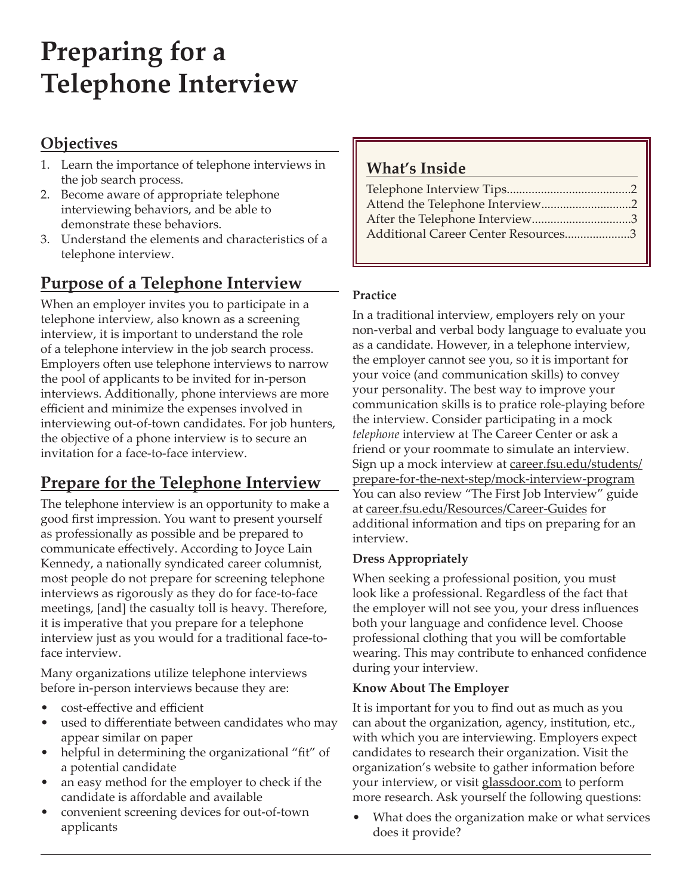# **Preparing for a Telephone Interview**

### **Objectives**

- 1. Learn the importance of telephone interviews in the job search process.
- 2. Become aware of appropriate telephone interviewing behaviors, and be able to demonstrate these behaviors.
- 3. Understand the elements and characteristics of a telephone interview.

# **Purpose of a Telephone Interview**

When an employer invites you to participate in a telephone interview, also known as a screening interview, it is important to understand the role of a telephone interview in the job search process. Employers often use telephone interviews to narrow the pool of applicants to be invited for in-person interviews. Additionally, phone interviews are more efficient and minimize the expenses involved in interviewing out-of-town candidates. For job hunters, the objective of a phone interview is to secure an invitation for a face-to-face interview.

# **Prepare for the Telephone Interview**

The telephone interview is an opportunity to make a good first impression. You want to present yourself as professionally as possible and be prepared to communicate effectively. According to Joyce Lain Kennedy, a nationally syndicated career columnist, most people do not prepare for screening telephone interviews as rigorously as they do for face-to-face meetings, [and] the casualty toll is heavy. Therefore, it is imperative that you prepare for a telephone interview just as you would for a traditional face-toface interview.

Many organizations utilize telephone interviews before in-person interviews because they are:

- cost-effective and efficient
- used to differentiate between candidates who may appear similar on paper
- helpful in determining the organizational "fit" of a potential candidate
- an easy method for the employer to check if the candidate is affordable and available
- convenient screening devices for out-of-town applicants

### **What's Inside**

| After the Telephone Interview3      |  |
|-------------------------------------|--|
| Additional Career Center Resources3 |  |
|                                     |  |

#### **Practice**

In a traditional interview, employers rely on your non-verbal and verbal body language to evaluate you as a candidate. However, in a telephone interview, the employer cannot see you, so it is important for your voice (and communication skills) to convey your personality. The best way to improve your communication skills is to pratice role-playing before the interview. Consider participating in a mock *telephone* interview at The Career Center or ask a friend or your roommate to simulate an interview. Sign up a mock interview at [career.fsu.edu/students/](http://www.career.fsu.edu/students/prepare-for-the-next-step/mock-interview-program) [prepare-for-the-next-step/mock-interview-program](http://www.career.fsu.edu/students/prepare-for-the-next-step/mock-interview-program) You can also review "The First Job Interview" guide at [career.fsu.edu/Resources/Career-Guides](http://career.fsu.edu/Resources/Career-Guides) for additional information and tips on preparing for an interview.

#### **Dress Appropriately**

When seeking a professional position, you must look like a professional. Regardless of the fact that the employer will not see you, your dress influences both your language and confidence level. Choose professional clothing that you will be comfortable wearing. This may contribute to enhanced confidence during your interview.

#### **Know About The Employer**

It is important for you to find out as much as you can about the organization, agency, institution, etc., with which you are interviewing. Employers expect candidates to research their organization. Visit the organization's website to gather information before your interview, or visit [glassdoor.com](http://glassdoor.com) to perform more research. Ask yourself the following questions:

• What does the organization make or what services does it provide?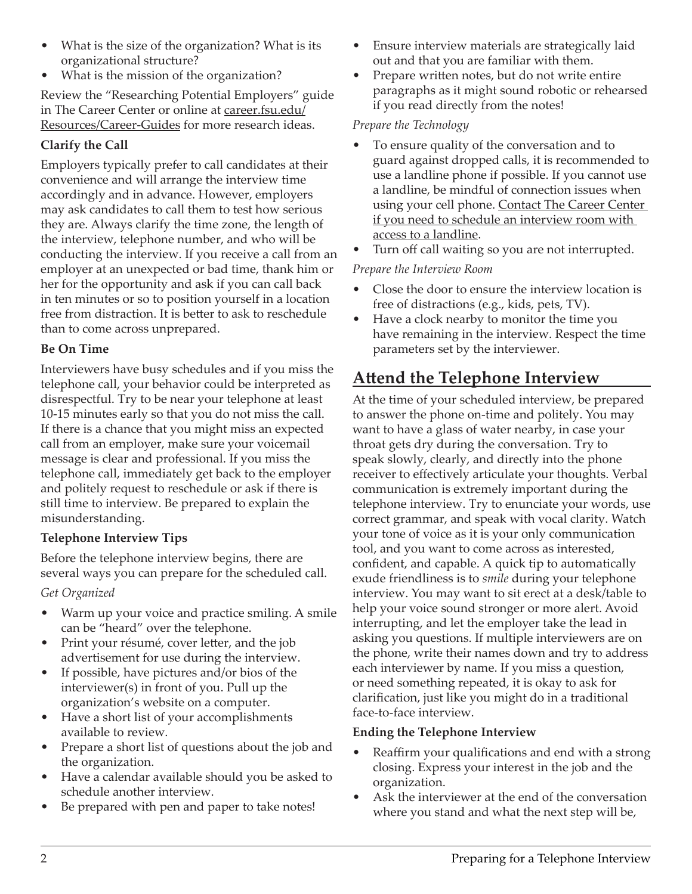- What is the size of the organization? What is its organizational structure?
- What is the mission of the organization?

Review the "Researching Potential Employers" guide in The Career Center or online at [career.fsu.edu](http://career.fsu.edu/Resources/Career-Guides)/ Resources/Career-Guides for more research ideas.

#### **Clarify the Call**

Employers typically prefer to call candidates at their convenience and will arrange the interview time accordingly and in advance. However, employers may ask candidates to call them to test how serious they are. Always clarify the time zone, the length of the interview, telephone number, and who will be conducting the interview. If you receive a call from an employer at an unexpected or bad time, thank him or her for the opportunity and ask if you can call back in ten minutes or so to position yourself in a location free from distraction. It is better to ask to reschedule than to come across unprepared.

#### **Be On Time**

Interviewers have busy schedules and if you miss the telephone call, your behavior could be interpreted as disrespectful. Try to be near your telephone at least 10-15 minutes early so that you do not miss the call. If there is a chance that you might miss an expected call from an employer, make sure your voicemail message is clear and professional. If you miss the telephone call, immediately get back to the employer and politely request to reschedule or ask if there is still time to interview. Be prepared to explain the misunderstanding.

#### **Telephone Interview Tips**

Before the telephone interview begins, there are several ways you can prepare for the scheduled call.

#### *Get Organized*

- Warm up your voice and practice smiling. A smile can be "heard" over the telephone.
- Print your résumé, cover letter, and the job advertisement for use during the interview.
- If possible, have pictures and/or bios of the interviewer(s) in front of you. Pull up the organization's website on a computer.
- Have a short list of your accomplishments available to review.
- Prepare a short list of questions about the job and the organization.
- Have a calendar available should you be asked to schedule another interview.
- Be prepared with pen and paper to take notes!
- Ensure interview materials are strategically laid out and that you are familiar with them.
- Prepare written notes, but do not write entire paragraphs as it might sound robotic or rehearsed if you read directly from the notes!

#### *Prepare the Technology*

- To ensure quality of the conversation and to guard against dropped calls, it is recommended to use a landline phone if possible. If you cannot use a landline, be mindful of connection issues when using your cell phone. Contact The Career Center if you need to schedule an interview room with access to a landline.
- Turn off call waiting so you are not interrupted.

#### *Prepare the Interview Room*

- Close the door to ensure the interview location is free of distractions (e.g., kids, pets, TV).
- Have a clock nearby to monitor the time you have remaining in the interview. Respect the time parameters set by the interviewer.

# **Attend the Telephone Interview**

At the time of your scheduled interview, be prepared to answer the phone on-time and politely. You may want to have a glass of water nearby, in case your throat gets dry during the conversation. Try to speak slowly, clearly, and directly into the phone receiver to effectively articulate your thoughts. Verbal communication is extremely important during the telephone interview. Try to enunciate your words, use correct grammar, and speak with vocal clarity. Watch your tone of voice as it is your only communication tool, and you want to come across as interested, confident, and capable. A quick tip to automatically exude friendliness is to *smile* during your telephone interview. You may want to sit erect at a desk/table to help your voice sound stronger or more alert. Avoid interrupting, and let the employer take the lead in asking you questions. If multiple interviewers are on the phone, write their names down and try to address each interviewer by name. If you miss a question, or need something repeated, it is okay to ask for clarification, just like you might do in a traditional face-to-face interview.

#### **Ending the Telephone Interview**

- Reaffirm your qualifications and end with a strong closing. Express your interest in the job and the organization.
- Ask the interviewer at the end of the conversation where you stand and what the next step will be,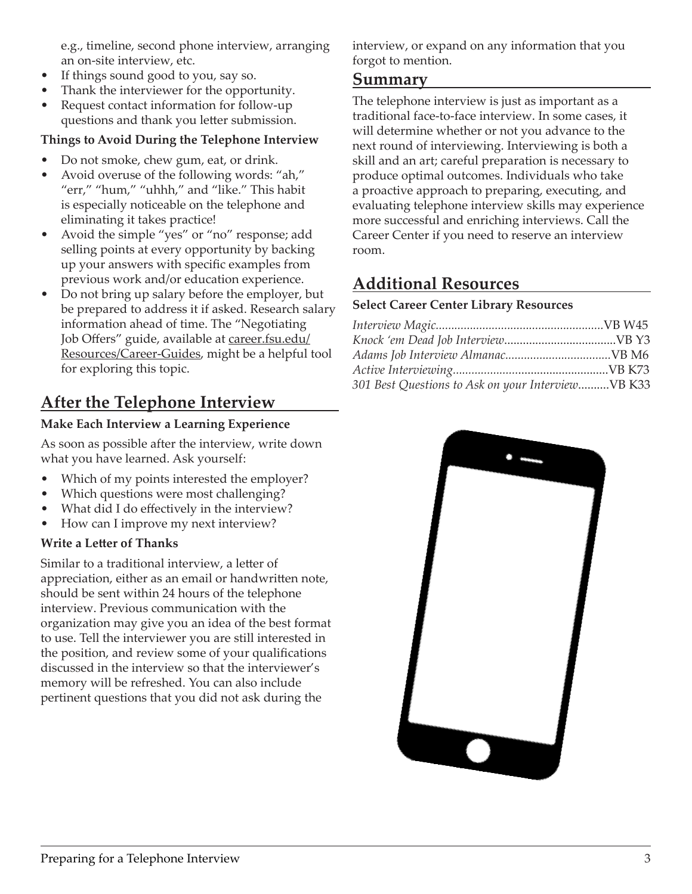<span id="page-2-0"></span>e.g., timeline, second phone interview, arranging an on-site interview, etc.

- If things sound good to you, say so.
- Thank the interviewer for the opportunity.
- Request contact information for follow-up questions and thank you letter submission.

#### **Things to Avoid During the Telephone Interview**

- Do not smoke, chew gum, eat, or drink.
- Avoid overuse of the following words: "ah," "err," "hum," "uhhh," and "like." This habit is especially noticeable on the telephone and eliminating it takes practice!
- Avoid the simple "yes" or "no" response; add selling points at every opportunity by backing up your answers with specific examples from previous work and/or education experience.
- Do not bring up salary before the employer, but be prepared to address it if asked. Research salary information ahead of time. The "Negotiating Job Offers" guide, available at [career.fsu.edu/](http://career.fsu.edu) Resources/Career-Guides, might be a helpful tool for exploring this topic.

# **After the Telephone Interview**

#### **Make Each Interview a Learning Experience**

As soon as possible after the interview, write down what you have learned. Ask yourself:

- Which of my points interested the employer?
- Which questions were most challenging?
- What did I do effectively in the interview?
- How can I improve my next interview?

#### **Write a Letter of Thanks**

Similar to a traditional interview, a letter of appreciation, either as an email or handwritten note, should be sent within 24 hours of the telephone interview. Previous communication with the organization may give you an idea of the best format to use. Tell the interviewer you are still interested in the position, and review some of your qualifications discussed in the interview so that the interviewer's memory will be refreshed. You can also include pertinent questions that you did not ask during the

interview, or expand on any information that you forgot to mention.

#### **Summary**

The telephone interview is just as important as a traditional face-to-face interview. In some cases, it will determine whether or not you advance to the next round of interviewing. Interviewing is both a skill and an art; careful preparation is necessary to produce optimal outcomes. Individuals who take a proactive approach to preparing, executing, and evaluating telephone interview skills may experience more successful and enriching interviews. Call the Career Center if you need to reserve an interview room.

## **Additional Resources**

#### **Select Career Center Library Resources**

| 301 Best Questions to Ask on your InterviewVB K33 |  |
|---------------------------------------------------|--|